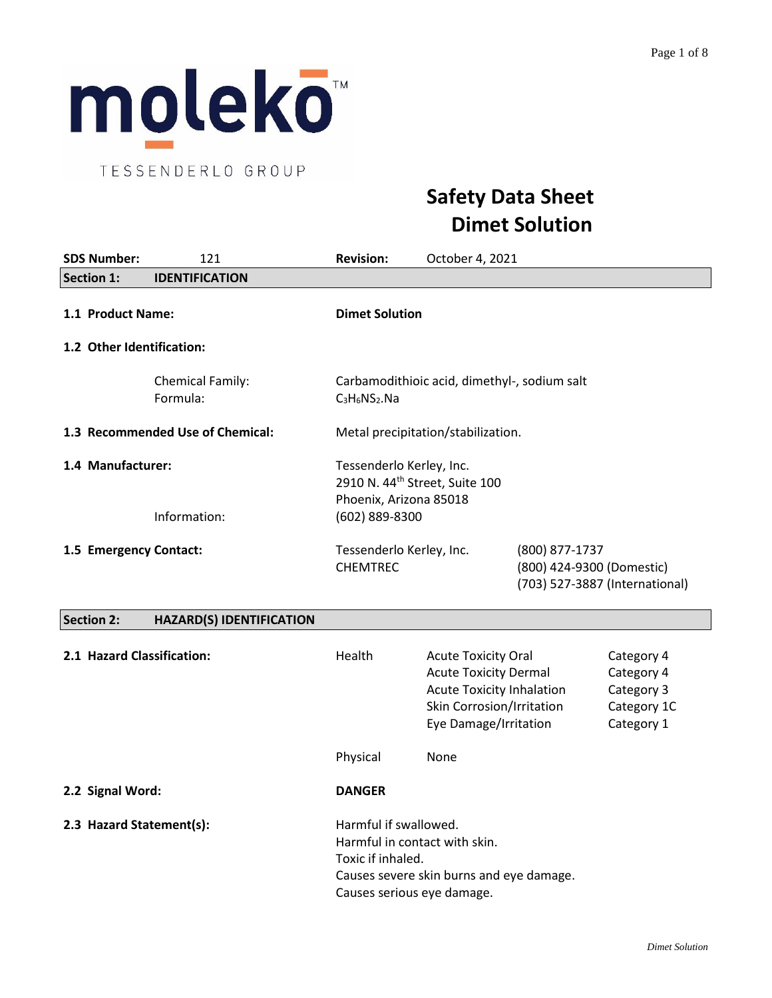

TESSENDERLO GROUP

# **Safety Data Sheet Dimet Solution**

| <b>SDS Number:</b>        | 121                                 | <b>Revision:</b>                                                                                 | October 4, 2021                              |                                                                               |
|---------------------------|-------------------------------------|--------------------------------------------------------------------------------------------------|----------------------------------------------|-------------------------------------------------------------------------------|
| <b>Section 1:</b>         | <b>IDENTIFICATION</b>               |                                                                                                  |                                              |                                                                               |
| 1.1 Product Name:         |                                     | <b>Dimet Solution</b>                                                                            |                                              |                                                                               |
| 1.2 Other Identification: |                                     |                                                                                                  |                                              |                                                                               |
|                           | <b>Chemical Family:</b><br>Formula: | $C_3H_6NS_2.Na$                                                                                  | Carbamodithioic acid, dimethyl-, sodium salt |                                                                               |
|                           | 1.3 Recommended Use of Chemical:    |                                                                                                  | Metal precipitation/stabilization.           |                                                                               |
| 1.4 Manufacturer:         |                                     | Tessenderlo Kerley, Inc.<br>2910 N. 44 <sup>th</sup> Street, Suite 100<br>Phoenix, Arizona 85018 |                                              |                                                                               |
|                           | Information:                        | (602) 889-8300                                                                                   |                                              |                                                                               |
| 1.5 Emergency Contact:    |                                     | Tessenderlo Kerley, Inc.<br><b>CHEMTREC</b>                                                      |                                              | (800) 877-1737<br>(800) 424-9300 (Domestic)<br>(703) 527-3887 (International) |
| <b>Section 2:</b>         | <b>HAZARD(S) IDENTIFICATION</b>     |                                                                                                  |                                              |                                                                               |

# **2.1 Hazard Classification:** Thealth Acute Toxicity Oral Category 4 Acute Toxicity Dermal Category 4 Acute Toxicity Inhalation Category 3 Skin Corrosion/Irritation Category 1C Eye Damage/Irritation Category 1 Physical None **2.2 Signal Word: DANGER 2.3 Hazard Statement(s):** Harmful if swallowed. Harmful in contact with skin. Toxic if inhaled. Causes severe skin burns and eye damage.

Causes serious eye damage.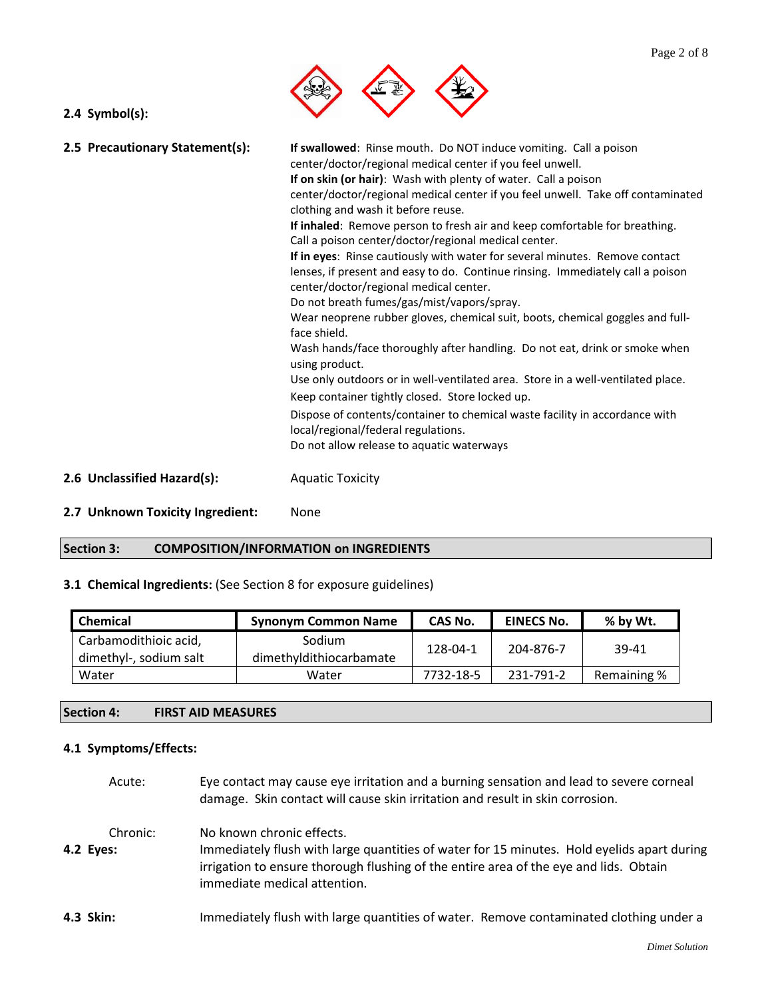

|  | $2.4$ Symbol(s): |  |  |  |
|--|------------------|--|--|--|
|--|------------------|--|--|--|

| 2.5 Precautionary Statement(s): | If swallowed: Rinse mouth. Do NOT induce vomiting. Call a poison<br>center/doctor/regional medical center if you feel unwell.<br>If on skin (or hair): Wash with plenty of water. Call a poison<br>center/doctor/regional medical center if you feel unwell. Take off contaminated<br>clothing and wash it before reuse.<br>If inhaled: Remove person to fresh air and keep comfortable for breathing.<br>Call a poison center/doctor/regional medical center.<br>If in eyes: Rinse cautiously with water for several minutes. Remove contact<br>lenses, if present and easy to do. Continue rinsing. Immediately call a poison<br>center/doctor/regional medical center.<br>Do not breath fumes/gas/mist/vapors/spray.<br>Wear neoprene rubber gloves, chemical suit, boots, chemical goggles and full-<br>face shield.<br>Wash hands/face thoroughly after handling. Do not eat, drink or smoke when<br>using product.<br>Use only outdoors or in well-ventilated area. Store in a well-ventilated place.<br>Keep container tightly closed. Store locked up.<br>Dispose of contents/container to chemical waste facility in accordance with<br>local/regional/federal regulations. |
|---------------------------------|--------------------------------------------------------------------------------------------------------------------------------------------------------------------------------------------------------------------------------------------------------------------------------------------------------------------------------------------------------------------------------------------------------------------------------------------------------------------------------------------------------------------------------------------------------------------------------------------------------------------------------------------------------------------------------------------------------------------------------------------------------------------------------------------------------------------------------------------------------------------------------------------------------------------------------------------------------------------------------------------------------------------------------------------------------------------------------------------------------------------------------------------------------------------------------------|
|                                 | Do not allow release to aquatic waterways                                                                                                                                                                                                                                                                                                                                                                                                                                                                                                                                                                                                                                                                                                                                                                                                                                                                                                                                                                                                                                                                                                                                            |

- **2.6 Unclassified Hazard(s):** Aquatic Toxicity
- **2.7 Unknown Toxicity Ingredient:** None

# **Section 3: COMPOSITION/INFORMATION on INGREDIENTS**

# **3.1 Chemical Ingredients:** (See Section 8 for exposure guidelines)

| Chemical                                        | <b>Synonym Common Name</b>        | CAS No.   | <b>EINECS No.</b> | % by Wt.    |
|-------------------------------------------------|-----------------------------------|-----------|-------------------|-------------|
| Carbamodithioic acid,<br>dimethyl-, sodium salt | Sodium<br>dimethyldithiocarbamate | 128-04-1  | 204-876-7         | 39-41       |
| Water                                           | Water                             | 7732-18-5 | 231-791-2         | Remaining % |

#### **Section 4: FIRST AID MEASURES**

#### **4.1 Symptoms/Effects:**

| Acute:                | Eye contact may cause eye irritation and a burning sensation and lead to severe corneal<br>damage. Skin contact will cause skin irritation and result in skin corrosion.                                                                         |
|-----------------------|--------------------------------------------------------------------------------------------------------------------------------------------------------------------------------------------------------------------------------------------------|
| Chronic:<br>4.2 Eyes: | No known chronic effects.<br>Immediately flush with large quantities of water for 15 minutes. Hold eyelids apart during<br>irrigation to ensure thorough flushing of the entire area of the eye and lids. Obtain<br>immediate medical attention. |
| 4.3 Skin:             | Immediately flush with large quantities of water. Remove contaminated clothing under a                                                                                                                                                           |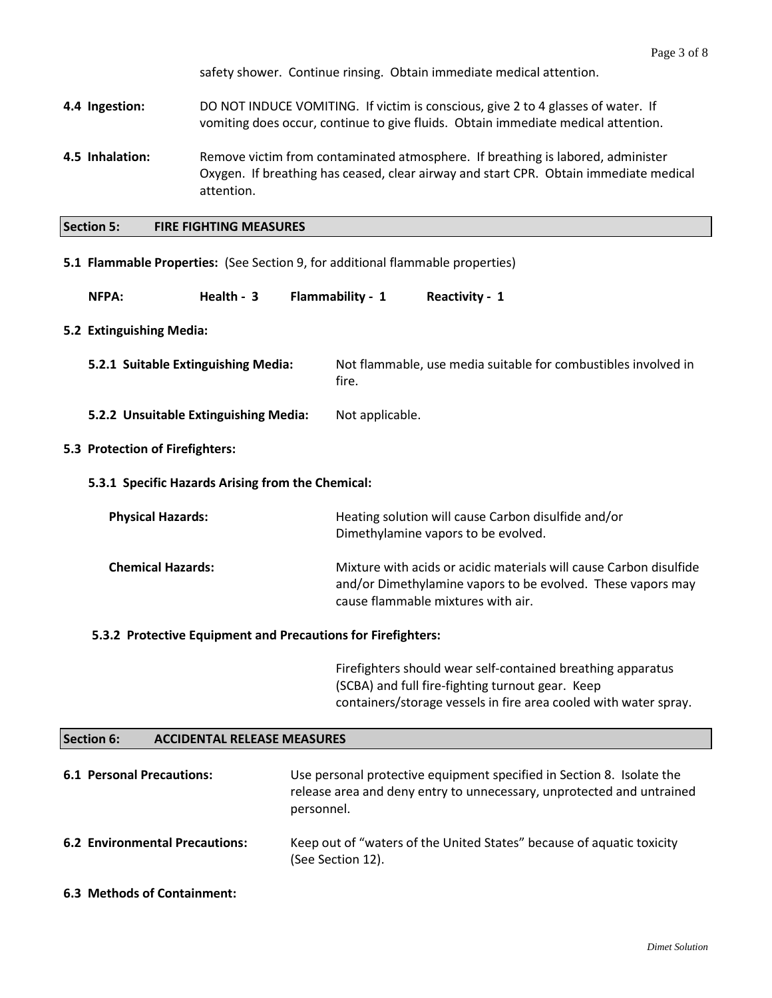safety shower. Continue rinsing. Obtain immediate medical attention.

- **4.4 Ingestion:** DO NOT INDUCE VOMITING.If victim is conscious, give 2 to 4 glasses of water. If vomiting does occur, continue to give fluids. Obtain immediate medical attention.
- **4.5 Inhalation:** Remove victim from contaminated atmosphere. If breathing is labored, administer Oxygen. If breathing has ceased, clear airway and start CPR. Obtain immediate medical attention.
- **Section 5: FIRE FIGHTING MEASURES**

#### **5.1 Flammable Properties:** (See Section 9, for additional flammable properties)

| NFPA: | Health - 3 | Flammability - 1 | Reactivity - 1 |
|-------|------------|------------------|----------------|
|-------|------------|------------------|----------------|

#### **5.2 Extinguishing Media:**

- **5.2.1 Suitable Extinguishing Media:** Not flammable, use media suitable for combustibles involved in fire.
- **5.2.2 Unsuitable Extinguishing Media:** Not applicable.

#### **5.3 Protection of Firefighters:**

**5.3.1 Specific Hazards Arising from the Chemical:**

| <b>Physical Hazards:</b> | Heating solution will cause Carbon disulfide and/or<br>Dimethylamine vapors to be evolved.                                                                              |
|--------------------------|-------------------------------------------------------------------------------------------------------------------------------------------------------------------------|
| <b>Chemical Hazards:</b> | Mixture with acids or acidic materials will cause Carbon disulfide<br>and/or Dimethylamine vapors to be evolved. These vapors may<br>cause flammable mixtures with air. |

#### **5.3.2 Protective Equipment and Precautions for Firefighters:**

Firefighters should wear self-contained breathing apparatus (SCBA) and full fire-fighting turnout gear. Keep containers/storage vessels in fire area cooled with water spray.

#### **Section 6: ACCIDENTAL RELEASE MEASURES**

| <b>6.1 Personal Precautions:</b>      | Use personal protective equipment specified in Section 8. Isolate the<br>release area and deny entry to unnecessary, unprotected and untrained<br>personnel. |
|---------------------------------------|--------------------------------------------------------------------------------------------------------------------------------------------------------------|
| <b>6.2 Environmental Precautions:</b> | Keep out of "waters of the United States" because of aquatic toxicity<br>(See Section 12).                                                                   |

**6.3 Methods of Containment:**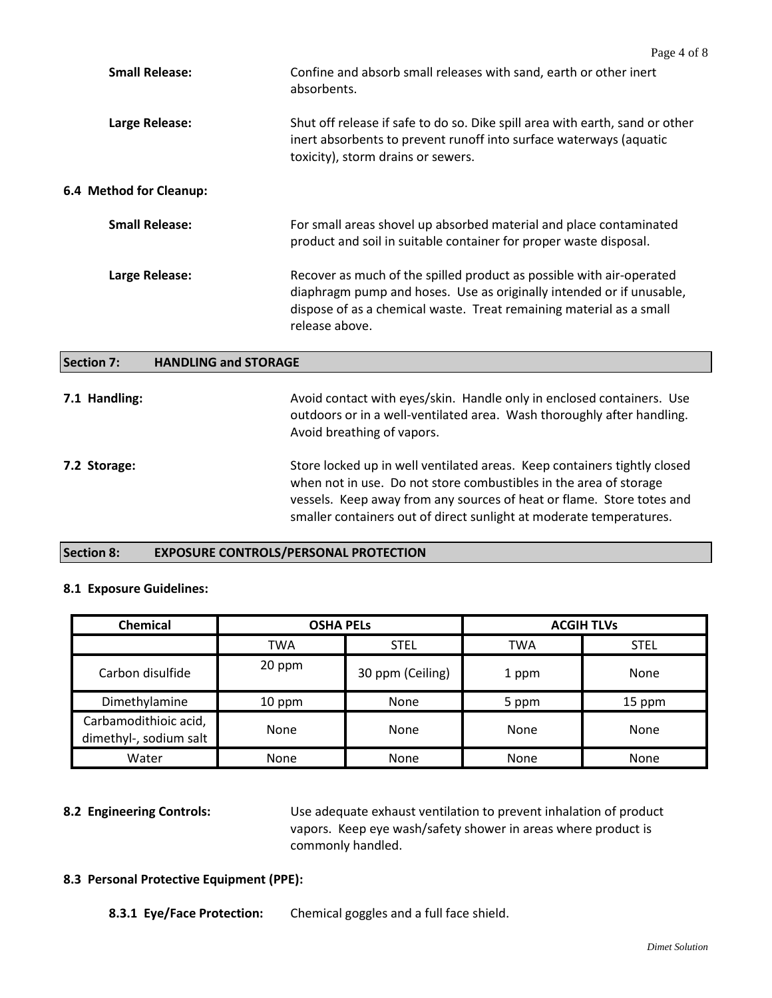|                                                  | Page 4 of 8                                                                                                                                                                                                                           |
|--------------------------------------------------|---------------------------------------------------------------------------------------------------------------------------------------------------------------------------------------------------------------------------------------|
| <b>Small Release:</b>                            | Confine and absorb small releases with sand, earth or other inert<br>absorbents.                                                                                                                                                      |
| Large Release:                                   | Shut off release if safe to do so. Dike spill area with earth, sand or other<br>inert absorbents to prevent runoff into surface waterways (aquatic<br>toxicity), storm drains or sewers.                                              |
| 6.4 Method for Cleanup:                          |                                                                                                                                                                                                                                       |
| <b>Small Release:</b>                            | For small areas shovel up absorbed material and place contaminated<br>product and soil in suitable container for proper waste disposal.                                                                                               |
| Large Release:                                   | Recover as much of the spilled product as possible with air-operated<br>diaphragm pump and hoses. Use as originally intended or if unusable,<br>dispose of as a chemical waste. Treat remaining material as a small<br>release above. |
| <b>HANDLING and STORAGE</b><br><b>Section 7:</b> |                                                                                                                                                                                                                                       |
| 7.1 Handling:                                    | Avoid contact with eyes/skin. Handle only in enclosed containers. Use<br>outdoors or in a well-ventilated area. Wash thoroughly after handling.                                                                                       |

**7.2 Storage:** Store locked up in well ventilated areas. Keep containers tightly closed when not in use. Do not store combustibles in the area of storage vessels. Keep away from any sources of heat or flame. Store totes and smaller containers out of direct sunlight at moderate temperatures.

Avoid breathing of vapors.

#### **Section 8: EXPOSURE CONTROLS/PERSONAL PROTECTION**

#### **8.1 Exposure Guidelines:**

| Chemical                                        | <b>OSHA PELS</b> |                  |             | <b>ACGIH TLVs</b> |
|-------------------------------------------------|------------------|------------------|-------------|-------------------|
|                                                 | TWA              | <b>STEL</b>      | TWA         | <b>STEL</b>       |
| Carbon disulfide                                | 20 ppm           | 30 ppm (Ceiling) | 1 ppm       | None              |
| Dimethylamine                                   | 10 ppm           | <b>None</b>      | 5 ppm       | 15 ppm            |
| Carbamodithioic acid,<br>dimethyl-, sodium salt | None             | None             | None        | None              |
| Water                                           | None             | None             | <b>None</b> | None              |

**8.2 Engineering Controls:** Use adequate exhaust ventilation to prevent inhalation of product vapors. Keep eye wash/safety shower in areas where product is commonly handled.

#### **8.3 Personal Protective Equipment (PPE):**

**8.3.1 Eye/Face Protection:** Chemical goggles and a full face shield.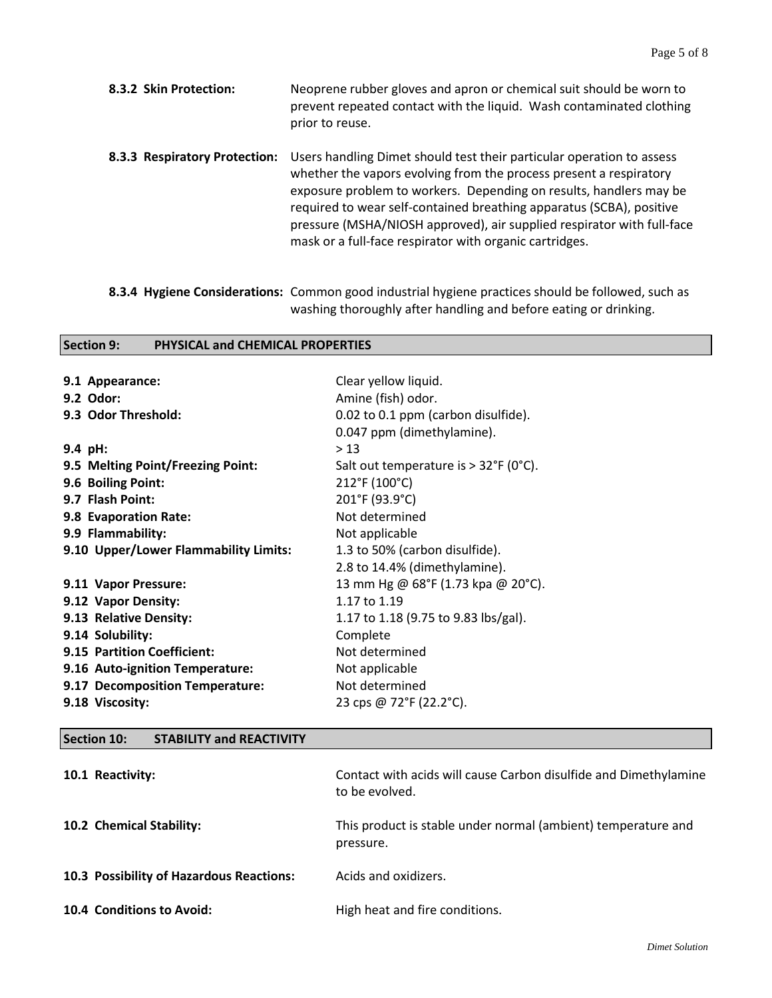- **8.3.2 Skin Protection:** Neoprene rubber gloves and apron or chemical suit should be worn to prevent repeated contact with the liquid. Wash contaminated clothing prior to reuse.
- **8.3.3 Respiratory Protection:** Users handling Dimet should test their particular operation to assess whether the vapors evolving from the process present a respiratory exposure problem to workers. Depending on results, handlers may be required to wear self-contained breathing apparatus (SCBA), positive pressure (MSHA/NIOSH approved), air supplied respirator with full-face mask or a full-face respirator with organic cartridges.
- **8.3.4 Hygiene Considerations:** Common good industrial hygiene practices should be followed, such as washing thoroughly after handling and before eating or drinking.

#### **Section 9: PHYSICAL and CHEMICAL PROPERTIES**

| Clear yellow liquid.                           |
|------------------------------------------------|
| Amine (fish) odor.                             |
| 0.02 to 0.1 ppm (carbon disulfide).            |
| 0.047 ppm (dimethylamine).                     |
| > 13                                           |
| Salt out temperature is $> 32^{\circ}F$ (0°C). |
| 212°F (100°C)                                  |
| 201°F (93.9°C)                                 |
| Not determined                                 |
| Not applicable                                 |
| 1.3 to 50% (carbon disulfide).                 |
| 2.8 to 14.4% (dimethylamine).                  |
| 13 mm Hg @ 68°F (1.73 kpa @ 20°C).             |
| 1.17 to 1.19                                   |
| 1.17 to 1.18 (9.75 to 9.83 lbs/gal).           |
| Complete                                       |
| Not determined                                 |
| Not applicable                                 |
| Not determined                                 |
| 23 cps @ 72°F (22.2°C).                        |
|                                                |

#### **Section 10: STABILITY and REACTIVITY**

| 10.1 Reactivity:                         | Contact with acids will cause Carbon disulfide and Dimethylamine<br>to be evolved. |
|------------------------------------------|------------------------------------------------------------------------------------|
| 10.2 Chemical Stability:                 | This product is stable under normal (ambient) temperature and<br>pressure.         |
| 10.3 Possibility of Hazardous Reactions: | Acids and oxidizers.                                                               |
| 10.4 Conditions to Avoid:                | High heat and fire conditions.                                                     |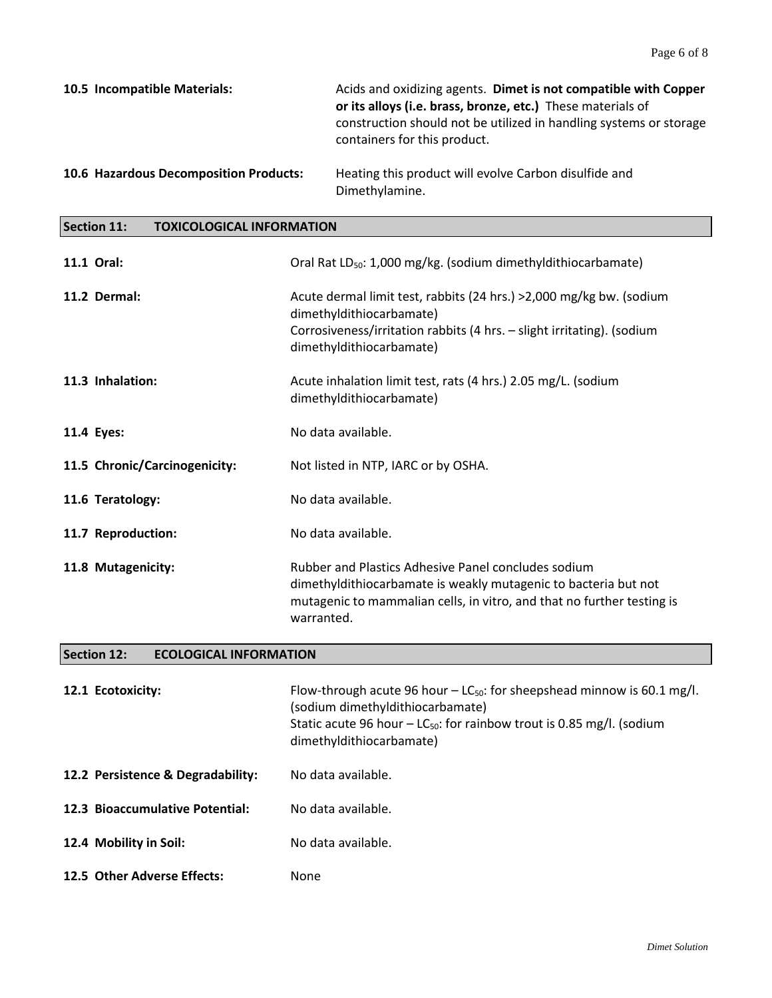| 10.5 Incompatible Materials:           | Acids and oxidizing agents. Dimet is not compatible with Copper<br>or its alloys (i.e. brass, bronze, etc.) These materials of<br>construction should not be utilized in handling systems or storage<br>containers for this product. |
|----------------------------------------|--------------------------------------------------------------------------------------------------------------------------------------------------------------------------------------------------------------------------------------|
| 10.6 Hazardous Decomposition Products: | Heating this product will evolve Carbon disulfide and                                                                                                                                                                                |

Dimethylamine.

### **Section 11: TOXICOLOGICAL INFORMATION**

| 11.1 Oral:                    | Oral Rat LD <sub>50</sub> : 1,000 mg/kg. (sodium dimethyldithiocarbamate)                                                                                                                                      |
|-------------------------------|----------------------------------------------------------------------------------------------------------------------------------------------------------------------------------------------------------------|
| 11.2 Dermal:                  | Acute dermal limit test, rabbits (24 hrs.) > 2,000 mg/kg bw. (sodium<br>dimethyldithiocarbamate)<br>Corrosiveness/irritation rabbits (4 hrs. - slight irritating). (sodium<br>dimethyldithiocarbamate)         |
| 11.3 Inhalation:              | Acute inhalation limit test, rats (4 hrs.) 2.05 mg/L. (sodium<br>dimethyldithiocarbamate)                                                                                                                      |
| 11.4 Eyes:                    | No data available.                                                                                                                                                                                             |
| 11.5 Chronic/Carcinogenicity: | Not listed in NTP, IARC or by OSHA.                                                                                                                                                                            |
| 11.6 Teratology:              | No data available.                                                                                                                                                                                             |
| 11.7 Reproduction:            | No data available.                                                                                                                                                                                             |
| 11.8 Mutagenicity:            | Rubber and Plastics Adhesive Panel concludes sodium<br>dimethyldithiocarbamate is weakly mutagenic to bacteria but not<br>mutagenic to mammalian cells, in vitro, and that no further testing is<br>warranted. |

# **Section 12: ECOLOGICAL INFORMATION**

| 12.1 Ecotoxicity:                 | Flow-through acute 96 hour $- LC_{50}$ : for sheepshead minnow is 60.1 mg/l.<br>(sodium dimethyldithiocarbamate)<br>Static acute 96 hour $- LC_{50}$ : for rainbow trout is 0.85 mg/l. (sodium<br>dimethyldithiocarbamate) |
|-----------------------------------|----------------------------------------------------------------------------------------------------------------------------------------------------------------------------------------------------------------------------|
| 12.2 Persistence & Degradability: | No data available.                                                                                                                                                                                                         |
| 12.3 Bioaccumulative Potential:   | No data available.                                                                                                                                                                                                         |
| 12.4 Mobility in Soil:            | No data available.                                                                                                                                                                                                         |
| 12.5 Other Adverse Effects:       | None                                                                                                                                                                                                                       |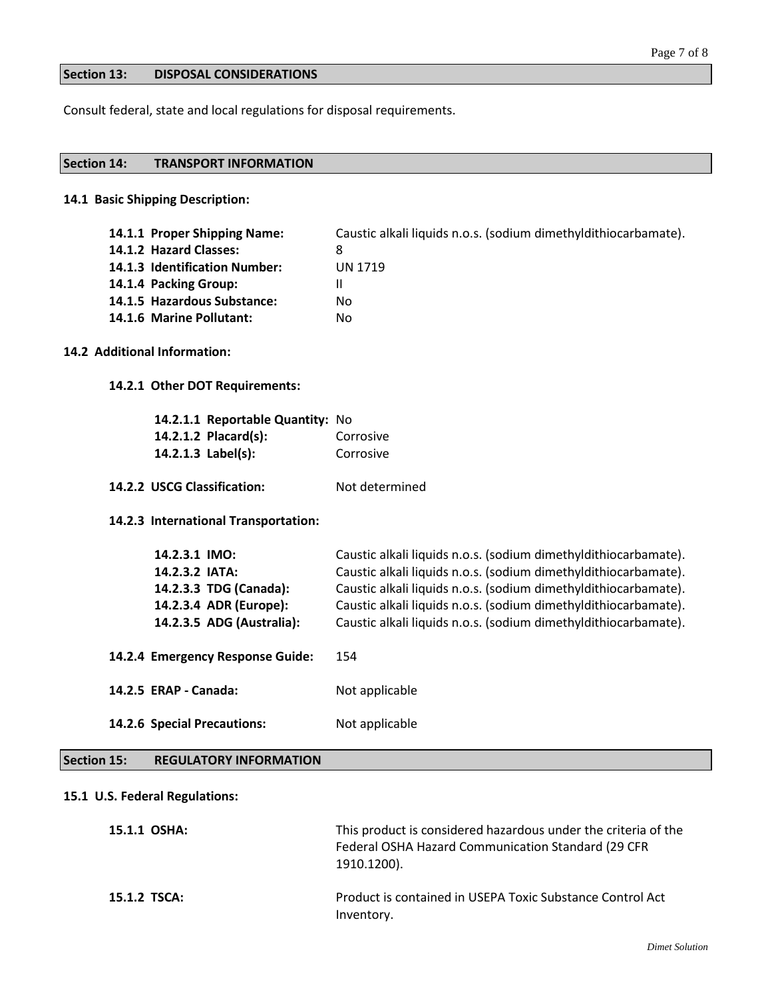#### **Section 13: DISPOSAL CONSIDERATIONS**

Consult federal, state and local regulations for disposal requirements.

#### **Section 14: TRANSPORT INFORMATION**

#### **14.1 Basic Shipping Description:**

| 14.1.1 Proper Shipping Name:  | Caustic alkali liquids n.o.s. (sodium dimethyldithiocarbamate). |
|-------------------------------|-----------------------------------------------------------------|
| 14.1.2 Hazard Classes:        | 8                                                               |
| 14.1.3 Identification Number: | UN 1719                                                         |
| 14.1.4 Packing Group:         |                                                                 |
| 14.1.5 Hazardous Substance:   | Nο                                                              |
| 14.1.6 Marine Pollutant:      | No                                                              |

### **14.2 Additional Information:**

**14.2.1 Other DOT Requirements:**

| 14.2.1.1 Reportable Quantity: No |           |
|----------------------------------|-----------|
| 14.2.1.2 Placard(s):             | Corrosive |
| 14.2.1.3 $Label(s)$ :            | Corrosive |

14.2.2 USCG Classification: Not determined

**14.2.3 International Transportation:**

| 14.2.3.1 IMO:                    | Caustic alkali liquids n.o.s. (sodium dimethyldithiocarbamate). |
|----------------------------------|-----------------------------------------------------------------|
| 14.2.3.2 IATA:                   | Caustic alkali liquids n.o.s. (sodium dimethyldithiocarbamate). |
| 14.2.3.3 TDG (Canada):           | Caustic alkali liquids n.o.s. (sodium dimethyldithiocarbamate). |
| 14.2.3.4 ADR (Europe):           | Caustic alkali liquids n.o.s. (sodium dimethyldithiocarbamate). |
| 14.2.3.5 ADG (Australia):        | Caustic alkali liquids n.o.s. (sodium dimethyldithiocarbamate). |
| 14.2.4 Emergency Response Guide: | 154                                                             |
| 14.2.5 ERAP - Canada:            | Not applicable                                                  |
| 14.2.6 Special Precautions:      | Not applicable                                                  |

**Section 15: REGULATORY INFORMATION**

#### **15.1 U.S. Federal Regulations:**

| 15.1.1 OSHA: | This product is considered hazardous under the criteria of the<br>Federal OSHA Hazard Communication Standard (29 CFR<br>1910.1200). |
|--------------|-------------------------------------------------------------------------------------------------------------------------------------|
| 15.1.2 TSCA: | Product is contained in USEPA Toxic Substance Control Act<br>Inventory.                                                             |